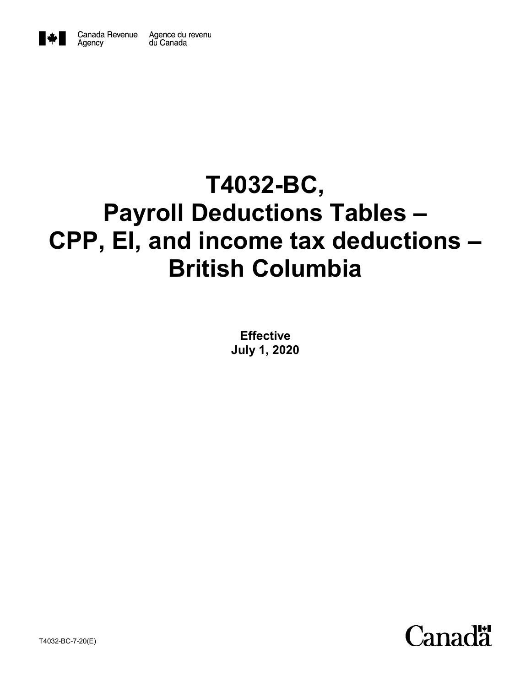

Agency

# **T4032-BC, Payroll Deductions Tables – CPP, EI, and income tax deductions – British Columbia**

**Effective July 1, 2020**

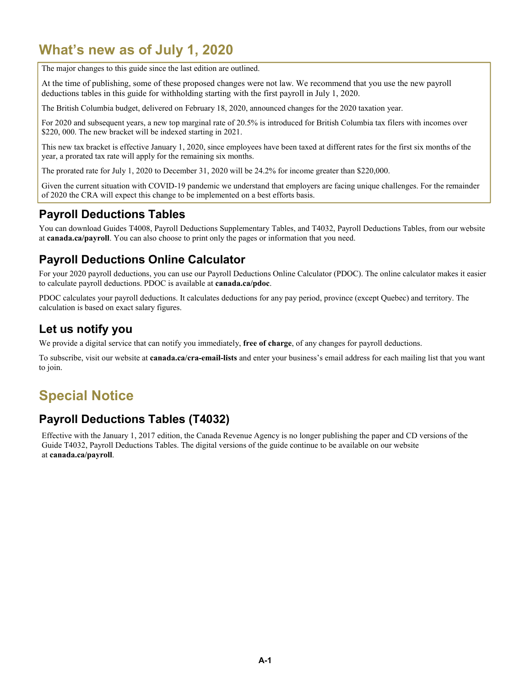# **What's new as of July 1, 2020**

The major changes to this guide since the last edition are outlined.

At the time of publishing, some of these proposed changes were not law. We recommend that you use the new payroll deductions tables in this guide for withholding starting with the first payroll in July 1, 2020.

The British Columbia budget, delivered on February 18, 2020, announced changes for the 2020 taxation year.

For 2020 and subsequent years, a new top marginal rate of 20.5% is introduced for British Columbia tax filers with incomes over \$220, 000. The new bracket will be indexed starting in 2021.

This new tax bracket is effective January 1, 2020, since employees have been taxed at different rates for the first six months of the year, a prorated tax rate will apply for the remaining six months.

The prorated rate for July 1, 2020 to December 31, 2020 will be 24.2% for income greater than \$220,000.

Given the current situation with COVID-19 pandemic we understand that employers are facing unique challenges. For the remainder of 2020 the CRA will expect this change to be implemented on a best efforts basis.

### **Payroll Deductions Tables**

You can download Guides T4008, Payroll Deductions Supplementary Tables, and T4032, Payroll Deductions Tables, from our website at **canada.ca/payroll**. You can also choose to print only the pages or information that you need.

### **Payroll Deductions Online Calculator**

For your 2020 payroll deductions, you can use our Payroll Deductions Online Calculator (PDOC). The online calculator makes it easier to calculate payroll deductions. PDOC is available at **canada.ca/pdoc**.

PDOC calculates your payroll deductions. It calculates deductions for any pay period, province (except Quebec) and territory. The calculation is based on exact salary figures.

### **Let us notify you**

We provide a digital service that can notify you immediately, **free of charge**, of any changes for payroll deductions.

To subscribe, visit our website at **canada.ca/cra-email-lists** and enter your business's email address for each mailing list that you want to join.

# **Special Notice**

### **Payroll Deductions Tables (T4032)**

Effective with the January 1, 2017 edition, the Canada Revenue Agency is no longer publishing the paper and CD versions of the Guide T4032, Payroll Deductions Tables. The digital versions of the guide continue to be available on our website at **canada.ca/payroll**.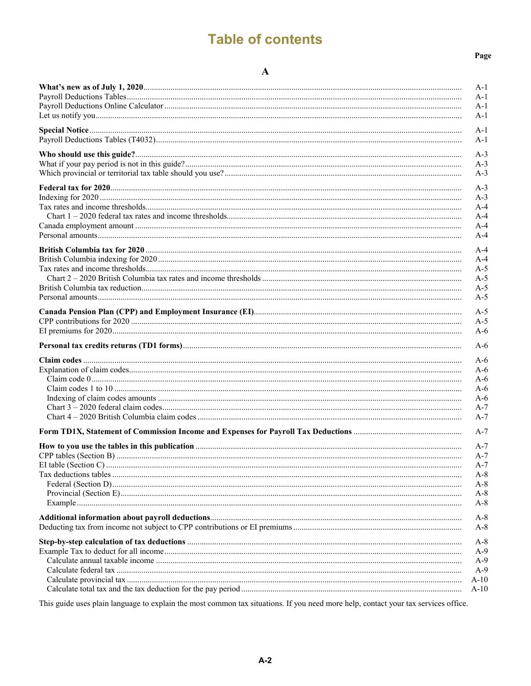# **Table of contents**

#### Page

| A-1    |
|--------|
| A-1    |
| A-1    |
| $A-1$  |
| $A-1$  |
| $A-1$  |
| $A-3$  |
| $A-3$  |
| $A-3$  |
| $A-3$  |
| $A-3$  |
| $A-4$  |
| $A-4$  |
| $A-4$  |
| $A-4$  |
| $A-4$  |
| $A-4$  |
| $A-5$  |
| $A-5$  |
| $A-5$  |
| $A-5$  |
| $A-5$  |
| $A-5$  |
| $A-6$  |
| $A-6$  |
| $A-6$  |
| $A-6$  |
| $A-6$  |
| $A-6$  |
| $A-6$  |
| $A-7$  |
| $A-7$  |
| $A-7$  |
| A-7    |
| $A-7$  |
| $A-7$  |
| $A-8$  |
| A-8    |
| $A-8$  |
| $A-8$  |
| $A-8$  |
| $A-8$  |
| $A-8$  |
| $A-9$  |
| $A-9$  |
| $A-9$  |
| $A-10$ |
| $A-10$ |

This guide uses plain language to explain the most common tax situations. If you need more help, contact your tax services office.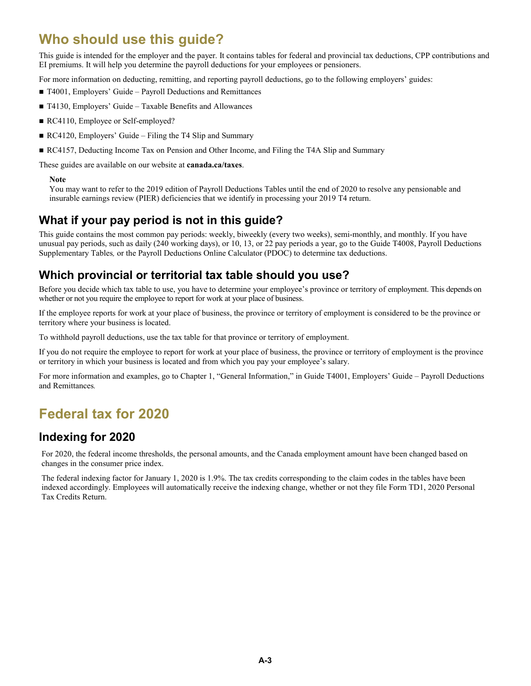# **Who should use this guide?**

This guide is intended for the employer and the payer. It contains tables for federal and provincial tax deductions, CPP contributions and EI premiums. It will help you determine the payroll deductions for your employees or pensioners.

For more information on deducting, remitting, and reporting payroll deductions, go to the following employers' guides:

- T4001, Employers' Guide Payroll Deductions and Remittances
- T4130, Employers' Guide Taxable Benefits and Allowances
- RC4110, Employee or Self-employed?
- RC4120, Employers' Guide Filing the T4 Slip and Summary
- RC4157, Deducting Income Tax on Pension and Other Income, and Filing the T4A Slip and Summary

These guides are available on our website at **canada.ca/taxes**.

#### **Note**

You may want to refer to the 2019 edition of Payroll Deductions Tables until the end of 2020 to resolve any pensionable and insurable earnings review (PIER) deficiencies that we identify in processing your 2019 T4 return.

### **What if your pay period is not in this guide?**

This guide contains the most common pay periods: weekly, biweekly (every two weeks), semi-monthly, and monthly. If you have unusual pay periods, such as daily (240 working days), or 10, 13, or 22 pay periods a year, go to the Guide T4008, Payroll Deductions Supplementary Tables*,* or the Payroll Deductions Online Calculator (PDOC) to determine tax deductions.

### **Which provincial or territorial tax table should you use?**

Before you decide which tax table to use, you have to determine your employee's province or territory of employment. This depends on whether or not you require the employee to report for work at your place of business.

If the employee reports for work at your place of business, the province or territory of employment is considered to be the province or territory where your business is located.

To withhold payroll deductions, use the tax table for that province or territory of employment.

If you do not require the employee to report for work at your place of business, the province or territory of employment is the province or territory in which your business is located and from which you pay your employee's salary.

For more information and examples, go to Chapter 1, "General Information," in Guide T4001, Employers' Guide – Payroll Deductions and Remittances*.*

# **Federal tax for 2020**

### **Indexing for 2020**

For 2020, the federal income thresholds, the personal amounts, and the Canada employment amount have been changed based on changes in the consumer price index.

The federal indexing factor for January 1, 2020 is 1.9%. The tax credits corresponding to the claim codes in the tables have been indexed accordingly. Employees will automatically receive the indexing change, whether or not they file Form TD1, 2020 Personal Tax Credits Return.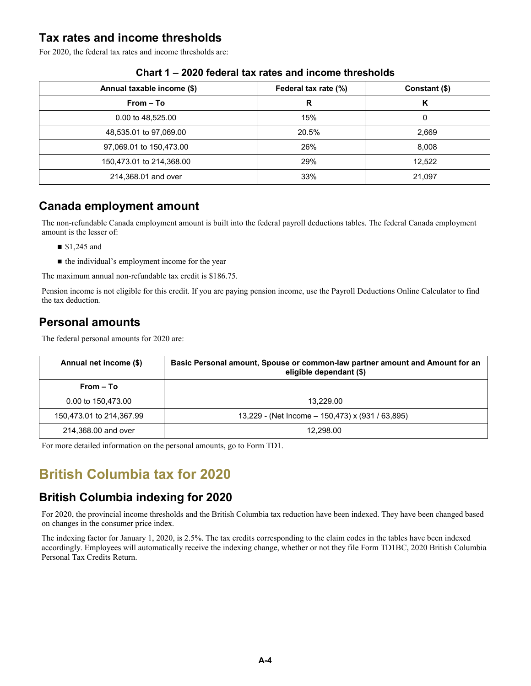### **Tax rates and income thresholds**

For 2020, the federal tax rates and income thresholds are:

| Annual taxable income (\$) | Federal tax rate (%) | Constant (\$) |
|----------------------------|----------------------|---------------|
| $From - To$                | R                    | К             |
| 0.00 to 48,525.00          | 15%                  | 0             |
| 48,535.01 to 97,069.00     | 20.5%                | 2,669         |
| 97,069.01 to 150,473.00    | 26%                  | 8,008         |
| 150,473.01 to 214,368.00   | 29%                  | 12,522        |
| 214,368.01 and over        | 33%                  | 21,097        |

#### **Chart 1 – 2020 federal tax rates and income thresholds**

### **Canada employment amount**

The non-refundable Canada employment amount is built into the federal payroll deductions tables. The federal Canada employment amount is the lesser of:

- \$1,245 and
- the individual's employment income for the year

The maximum annual non-refundable tax credit is \$186.75.

Pension income is not eligible for this credit. If you are paying pension income, use the Payroll Deductions Online Calculator to find the tax deduction*.*

### **Personal amounts**

The federal personal amounts for 2020 are:

| Annual net income (\$)   | Basic Personal amount, Spouse or common-law partner amount and Amount for an<br>eligible dependant (\$) |  |  |
|--------------------------|---------------------------------------------------------------------------------------------------------|--|--|
| From – To                |                                                                                                         |  |  |
| 0.00 to 150.473.00       | 13.229.00                                                                                               |  |  |
| 150,473.01 to 214,367.99 | 13,229 - (Net Income – 150,473) x (931 / 63,895)                                                        |  |  |
| 214,368.00 and over      | 12.298.00                                                                                               |  |  |

For more detailed information on the personal amounts, go to Form TD1.

# **British Columbia tax for 2020**

### **British Columbia indexing for 2020**

For 2020, the provincial income thresholds and the British Columbia tax reduction have been indexed. They have been changed based on changes in the consumer price index.

The indexing factor for January 1, 2020, is 2.5%. The tax credits corresponding to the claim codes in the tables have been indexed accordingly. Employees will automatically receive the indexing change, whether or not they file Form TD1BC, 2020 British Columbia Personal Tax Credits Return.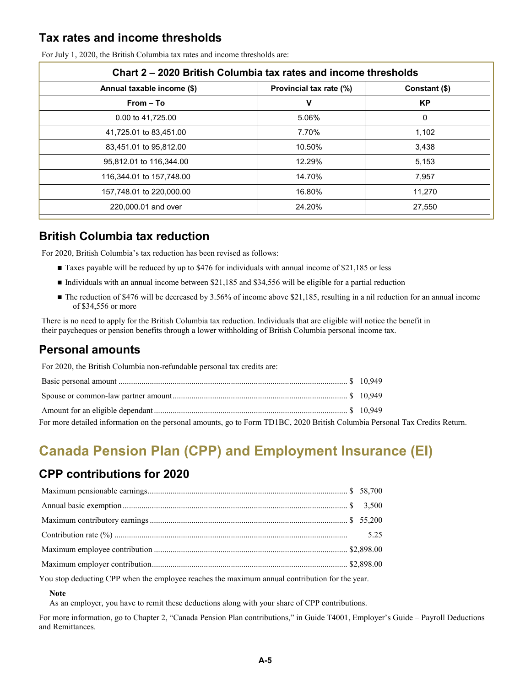### **Tax rates and income thresholds**

| Chart 2 – 2020 British Columbia tax rates and income thresholds |                         |               |  |  |
|-----------------------------------------------------------------|-------------------------|---------------|--|--|
| Annual taxable income (\$)                                      | Provincial tax rate (%) | Constant (\$) |  |  |
| From - To                                                       | v                       | <b>KP</b>     |  |  |
| 0.00 to 41.725.00                                               | 5.06%                   | 0             |  |  |
| 41,725.01 to 83,451.00                                          | 7.70%                   | 1,102         |  |  |
| 83,451.01 to 95,812.00                                          | 10.50%                  | 3,438         |  |  |
| 95,812.01 to 116,344.00                                         | 12.29%                  | 5,153         |  |  |
| 116,344.01 to 157,748.00                                        | 14.70%                  | 7,957         |  |  |
| 157,748.01 to 220,000.00                                        | 16.80%                  | 11.270        |  |  |
| 220,000.01 and over                                             | 24.20%                  | 27,550        |  |  |

For July 1, 2020, the British Columbia tax rates and income thresholds are:

### **British Columbia tax reduction**

For 2020, British Columbia's tax reduction has been revised as follows:

- Taxes payable will be reduced by up to \$476 for individuals with annual income of \$21,185 or less
- Individuals with an annual income between \$21,185 and \$34,556 will be eligible for a partial reduction
- The reduction of \$476 will be decreased by 3.56% of income above \$21,185, resulting in a nil reduction for an annual income of \$34,556 or more

There is no need to apply for the British Columbia tax reduction. Individuals that are eligible will notice the benefit in their paycheques or pension benefits through a lower withholding of British Columbia personal income tax.

### **Personal amounts**

For 2020, the British Columbia non-refundable personal tax credits are:

| For more detailed information on the personal amounts, go to Form TD1BC, 2020 British Columbia Personal Tax Credits Return. |  |
|-----------------------------------------------------------------------------------------------------------------------------|--|

# **Canada Pension Plan (CPP) and Employment Insurance (EI)**

### **CPP contributions for 2020**

You stop deducting CPP when the employee reaches the maximum annual contribution for the year.

#### **Note**

As an employer, you have to remit these deductions along with your share of CPP contributions.

For more information, go to Chapter 2, "Canada Pension Plan contributions," in Guide T4001, Employer's Guide – Payroll Deductions and Remittances.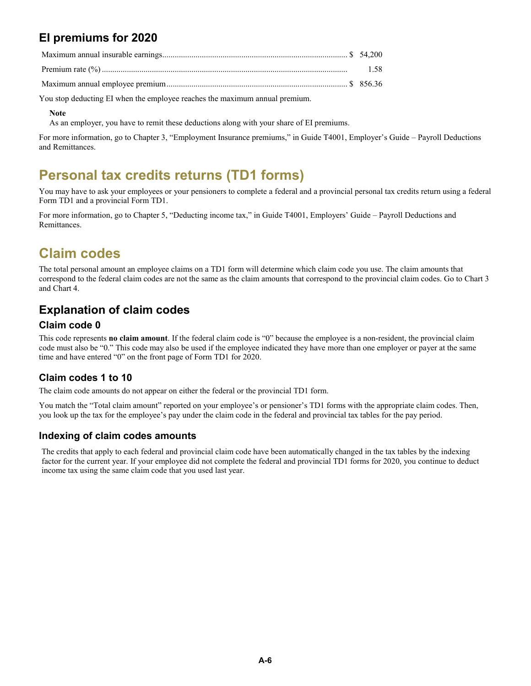### **EI premiums for 2020**

| .58 |
|-----|

Maximum annual employee premium....................................................................................... \$ 856.36

You stop deducting EI when the employee reaches the maximum annual premium.

#### **Note**

As an employer, you have to remit these deductions along with your share of EI premiums.

For more information, go to Chapter 3, "Employment Insurance premiums," in Guide T4001, Employer's Guide – Payroll Deductions and Remittances.

# **Personal tax credits returns (TD1 forms)**

You may have to ask your employees or your pensioners to complete a federal and a provincial personal tax credits return using a federal Form TD1 and a provincial Form TD1.

For more information, go to Chapter 5, "Deducting income tax," in Guide T4001, Employers' Guide – Payroll Deductions and Remittances.

# **Claim codes**

The total personal amount an employee claims on a TD1 form will determine which claim code you use. The claim amounts that correspond to the federal claim codes are not the same as the claim amounts that correspond to the provincial claim codes. Go to Chart 3 and Chart 4.

### **Explanation of claim codes**

#### **Claim code 0**

This code represents **no claim amount**. If the federal claim code is "0" because the employee is a non-resident, the provincial claim code must also be "0." This code may also be used if the employee indicated they have more than one employer or payer at the same time and have entered "0" on the front page of Form TD1 for 2020.

#### **Claim codes 1 to 10**

The claim code amounts do not appear on either the federal or the provincial TD1 form.

You match the "Total claim amount" reported on your employee's or pensioner's TD1 forms with the appropriate claim codes. Then, you look up the tax for the employee's pay under the claim code in the federal and provincial tax tables for the pay period.

#### **Indexing of claim codes amounts**

The credits that apply to each federal and provincial claim code have been automatically changed in the tax tables by the indexing factor for the current year. If your employee did not complete the federal and provincial TD1 forms for 2020, you continue to deduct income tax using the same claim code that you used last year.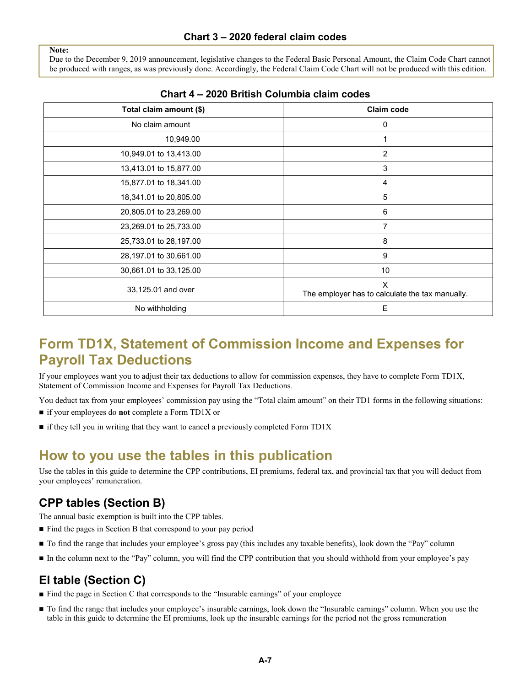Due to the December 9, 2019 announcement, legislative changes to the Federal Basic Personal Amount, the Claim Code Chart cannot be produced with ranges, as was previously done. Accordingly, the Federal Claim Code Chart will not be produced with this edition.

| Total claim amount (\$) | Claim code                                           |
|-------------------------|------------------------------------------------------|
| No claim amount         | 0                                                    |
| 10,949.00               |                                                      |
| 10,949.01 to 13,413.00  | $\overline{2}$                                       |
| 13,413.01 to 15,877.00  | 3                                                    |
| 15,877.01 to 18,341.00  | 4                                                    |
| 18,341.01 to 20,805.00  | 5                                                    |
| 20,805.01 to 23,269.00  | 6                                                    |
| 23,269.01 to 25,733.00  | 7                                                    |
| 25,733.01 to 28,197.00  | 8                                                    |
| 28,197.01 to 30,661.00  | 9                                                    |
| 30,661.01 to 33,125.00  | 10                                                   |
| 33,125.01 and over      | X<br>The employer has to calculate the tax manually. |
| No withholding          | E                                                    |

#### **Chart 4 – 2020 British Columbia claim codes**

# **Form TD1X, Statement of Commission Income and Expenses for Payroll Tax Deductions**

If your employees want you to adjust their tax deductions to allow for commission expenses, they have to complete Form TD1X, Statement of Commission Income and Expenses for Payroll Tax Deductions*.*

You deduct tax from your employees' commission pay using the "Total claim amount" on their TD1 forms in the following situations:

- if your employees do **not** complete a Form TD1X or
- $\blacksquare$  if they tell you in writing that they want to cancel a previously completed Form TD1X

# **How to you use the tables in this publication**

Use the tables in this guide to determine the CPP contributions, EI premiums, federal tax, and provincial tax that you will deduct from your employees' remuneration.

### **CPP tables (Section B)**

**Note:**

The annual basic exemption is built into the CPP tables.

- Find the pages in Section B that correspond to your pay period
- To find the range that includes your employee's gross pay (this includes any taxable benefits), look down the "Pay" column
- In the column next to the "Pay" column, you will find the CPP contribution that you should withhold from your employee's pay

### **EI table (Section C)**

- $\blacksquare$  Find the page in Section C that corresponds to the "Insurable earnings" of your employee
- To find the range that includes your employee's insurable earnings, look down the "Insurable earnings" column. When you use the table in this guide to determine the EI premiums, look up the insurable earnings for the period not the gross remuneration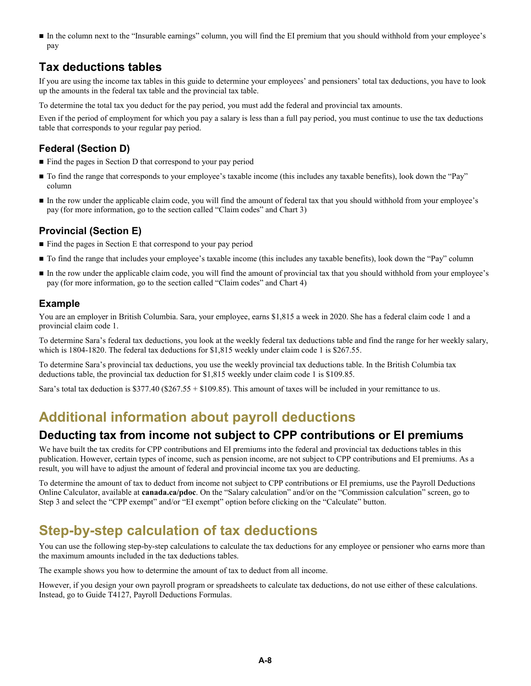In the column next to the "Insurable earnings" column, you will find the EI premium that you should withhold from your employee's pay

### **Tax deductions tables**

If you are using the income tax tables in this guide to determine your employees' and pensioners' total tax deductions, you have to look up the amounts in the federal tax table and the provincial tax table.

To determine the total tax you deduct for the pay period, you must add the federal and provincial tax amounts.

Even if the period of employment for which you pay a salary is less than a full pay period, you must continue to use the tax deductions table that corresponds to your regular pay period.

### **Federal (Section D)**

- Find the pages in Section D that correspond to your pay period
- To find the range that corresponds to your employee's taxable income (this includes any taxable benefits), look down the "Pay" column
- In the row under the applicable claim code, you will find the amount of federal tax that you should withhold from your employee's pay (for more information, go to the section called "Claim codes" and Chart 3)

#### **Provincial (Section E)**

- Find the pages in Section E that correspond to your pay period
- To find the range that includes your employee's taxable income (this includes any taxable benefits), look down the "Pay" column
- In the row under the applicable claim code, you will find the amount of provincial tax that you should withhold from your employee's pay (for more information, go to the section called "Claim codes" and Chart 4)

#### **Example**

You are an employer in British Columbia. Sara, your employee, earns \$1,815 a week in 2020. She has a federal claim code 1 and a provincial claim code 1.

To determine Sara's federal tax deductions, you look at the weekly federal tax deductions table and find the range for her weekly salary, which is 1804-1820. The federal tax deductions for \$1,815 weekly under claim code 1 is \$267.55.

To determine Sara's provincial tax deductions, you use the weekly provincial tax deductions table. In the British Columbia tax deductions table, the provincial tax deduction for \$1,815 weekly under claim code 1 is \$109.85.

Sara's total tax deduction is \$377.40 (\$267.55 + \$109.85). This amount of taxes will be included in your remittance to us.

### **Additional information about payroll deductions**

### **Deducting tax from income not subject to CPP contributions or EI premiums**

We have built the tax credits for CPP contributions and EI premiums into the federal and provincial tax deductions tables in this publication. However, certain types of income, such as pension income, are not subject to CPP contributions and EI premiums. As a result, you will have to adjust the amount of federal and provincial income tax you are deducting.

To determine the amount of tax to deduct from income not subject to CPP contributions or EI premiums, use the Payroll Deductions Online Calculator, available at **canada.ca/pdoc**. On the "Salary calculation" and/or on the "Commission calculation" screen, go to Step 3 and select the "CPP exempt" and/or "EI exempt" option before clicking on the "Calculate" button.

# **Step-by-step calculation of tax deductions**

You can use the following step-by-step calculations to calculate the tax deductions for any employee or pensioner who earns more than the maximum amounts included in the tax deductions tables.

The example shows you how to determine the amount of tax to deduct from all income.

However, if you design your own payroll program or spreadsheets to calculate tax deductions, do not use either of these calculations. Instead, go to Guide T4127, Payroll Deductions Formulas.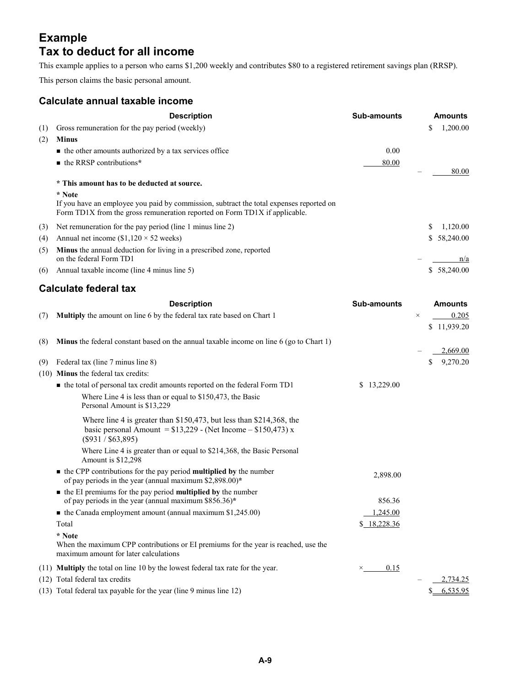### **Example Tax to deduct for all income**

This example applies to a person who earns \$1,200 weekly and contributes \$80 to a registered retirement savings plan (RRSP).

This person claims the basic personal amount.

#### **Calculate annual taxable income**

|     | <b>Description</b>                                                                                                                               | <b>Sub-amounts</b> |     | <b>Amounts</b> |
|-----|--------------------------------------------------------------------------------------------------------------------------------------------------|--------------------|-----|----------------|
| (1) | Gross remuneration for the pay period (weekly)                                                                                                   |                    | \$  | 1,200.00       |
| (2) | <b>Minus</b>                                                                                                                                     |                    |     |                |
|     | $\blacksquare$ the other amounts authorized by a tax services office                                                                             | 0.00               |     |                |
|     | $\blacksquare$ the RRSP contributions*                                                                                                           | 80.00              |     |                |
|     | * This amount has to be deducted at source.<br>* Note<br>If you have an employee you paid by commission, subtract the total expenses reported on |                    |     | 80.00          |
|     | Form TD1X from the gross remuneration reported on Form TD1X if applicable.                                                                       |                    |     |                |
| (3) | Net remuneration for the pay period (line 1 minus line 2)                                                                                        |                    | \$. | 1.120.00       |
| (4) | Annual net income $(\$1,120 \times 52$ weeks)                                                                                                    |                    |     | \$58,240.00    |
| (5) | <b>Minus</b> the annual deduction for living in a prescribed zone, reported<br>on the federal Form TD1                                           |                    |     | n/a            |
| (6) | Annual taxable income (line 4 minus line 5)                                                                                                      |                    |     | \$ 58,240.00   |

### **Calculate federal tax**

|      | <b>Description</b>                                                                                                                                            | <b>Sub-amounts</b> |          | <b>Amounts</b> |
|------|---------------------------------------------------------------------------------------------------------------------------------------------------------------|--------------------|----------|----------------|
| (7)  | Multiply the amount on line 6 by the federal tax rate based on Chart 1                                                                                        |                    | $\times$ | 0.205          |
|      |                                                                                                                                                               |                    |          | \$11,939.20    |
| (8)  | <b>Minus</b> the federal constant based on the annual taxable income on line 6 (go to Chart 1)                                                                |                    |          | 2,669.00       |
| (9)  | Federal tax (line 7 minus line 8)                                                                                                                             |                    | S.       | 9,270.20       |
| (10) | <b>Minus</b> the federal tax credits:                                                                                                                         |                    |          |                |
|      | • the total of personal tax credit amounts reported on the federal Form TD1                                                                                   | \$13,229.00        |          |                |
|      | Where Line 4 is less than or equal to $$150,473$ , the Basic<br>Personal Amount is \$13,229                                                                   |                    |          |                |
|      | Where line 4 is greater than \$150,473, but less than \$214,368, the<br>basic personal Amount = $$13,229$ - (Net Income – $$150,473$ ) x<br>(S931 / S63, 895) |                    |          |                |
|      | Where Line 4 is greater than or equal to \$214,368, the Basic Personal<br>Amount is \$12,298                                                                  |                    |          |                |
|      | $\blacksquare$ the CPP contributions for the pay period <b>multiplied by</b> the number<br>of pay periods in the year (annual maximum $$2,898.00$ )*          | 2,898.00           |          |                |
|      | • the EI premiums for the pay period <b>multiplied by</b> the number<br>of pay periods in the year (annual maximum $$856.36$ )*                               | 856.36             |          |                |
|      | $\blacksquare$ the Canada employment amount (annual maximum \$1,245.00)                                                                                       | 1,245.00           |          |                |
|      | Total                                                                                                                                                         | \$18,228.36        |          |                |
|      | * Note<br>When the maximum CPP contributions or EI premiums for the year is reached, use the<br>maximum amount for later calculations                         |                    |          |                |
|      | (11) <b>Multiply</b> the total on line 10 by the lowest federal tax rate for the year.                                                                        | 0.15<br>×          |          |                |
|      | (12) Total federal tax credits                                                                                                                                |                    |          | 2,734.25       |
|      | (13) Total federal tax payable for the year (line 9 minus line 12)                                                                                            |                    |          | 6,535.95       |